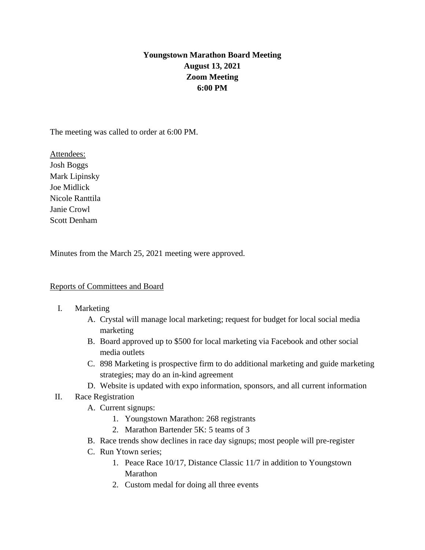# **Youngstown Marathon Board Meeting August 13, 2021 Zoom Meeting 6:00 PM**

The meeting was called to order at 6:00 PM.

Attendees: Josh Boggs Mark Lipinsky Joe Midlick Nicole Ranttila Janie Crowl Scott Denham

Minutes from the March 25, 2021 meeting were approved.

## Reports of Committees and Board

- I. Marketing
	- A. Crystal will manage local marketing; request for budget for local social media marketing
	- B. Board approved up to \$500 for local marketing via Facebook and other social media outlets
	- C. 898 Marketing is prospective firm to do additional marketing and guide marketing strategies; may do an in-kind agreement
	- D. Website is updated with expo information, sponsors, and all current information
- II. Race Registration
	- A. Current signups:
		- 1. Youngstown Marathon: 268 registrants
		- 2. Marathon Bartender 5K: 5 teams of 3
	- B. Race trends show declines in race day signups; most people will pre-register
	- C. Run Ytown series;
		- 1. Peace Race 10/17, Distance Classic 11/7 in addition to Youngstown Marathon
		- 2. Custom medal for doing all three events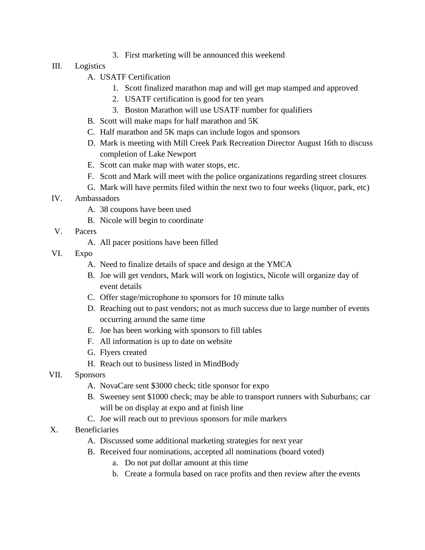3. First marketing will be announced this weekend

# III. Logistics

- A. USATF Certification
	- 1. Scott finalized marathon map and will get map stamped and approved
	- 2. USATF certification is good for ten years
	- 3. Boston Marathon will use USATF number for qualifiers
- B. Scott will make maps for half marathon and 5K
- C. Half marathon and 5K maps can include logos and sponsors
- D. Mark is meeting with Mill Creek Park Recreation Director August 16th to discuss completion of Lake Newport
- E. Scott can make map with water stops, etc.
- F. Scott and Mark will meet with the police organizations regarding street closures
- G. Mark will have permits filed within the next two to four weeks (liquor, park, etc)
- IV. Ambassadors
	- A. 38 coupons have been used
	- B. Nicole will begin to coordinate
- V. Pacers
	- A. All pacer positions have been filled
- VI. Expo
	- A. Need to finalize details of space and design at the YMCA
	- B. Joe will get vendors, Mark will work on logistics, Nicole will organize day of event details
	- C. Offer stage/microphone to sponsors for 10 minute talks
	- D. Reaching out to past vendors; not as much success due to large number of events occurring around the same time
	- E. Joe has been working with sponsors to fill tables
	- F. All information is up to date on website
	- G. Flyers created
	- H. Reach out to business listed in MindBody
- VII. Sponsors
	- A. NovaCare sent \$3000 check; title sponsor for expo
	- B. Sweeney sent \$1000 check; may be able to transport runners with Suburbans; car will be on display at expo and at finish line
	- C. Joe will reach out to previous sponsors for mile markers
- X. Beneficiaries
	- A. Discussed some additional marketing strategies for next year
	- B. Received four nominations, accepted all nominations (board voted)
		- a. Do not put dollar amount at this time
		- b. Create a formula based on race profits and then review after the events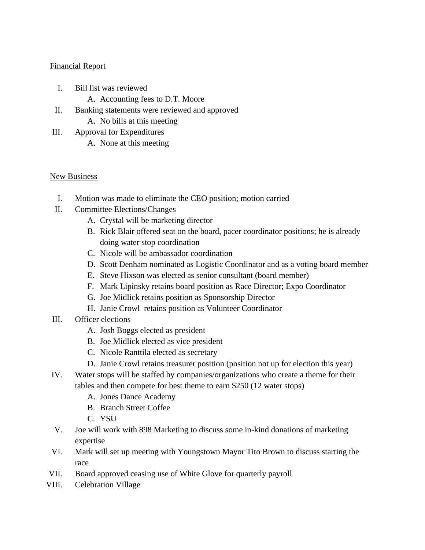#### Financial Report

- I. Bill list was reviewed
	- A. Accounting fees to D.T. Moore
- II. Banking statements were reviewed and approved
	- A. No bills at this meeting
- III. Approval for Expenditures
	- A. None at this meeting

## New Business

- I. Motion was made to eliminate the CEO position; motion carried
- II. Committee Elections/Changes
	- A. Crystal will be marketing director
	- B. Rick Blair offered seat on the board, pacer coordinator positions; he is already doing water stop coordination
	- C. Nicole will be ambassador coordination
	- D. Scott Denham nominated as Logistic Coordinator and as a voting board member
	- E. Steve Hixson was elected as senior consultant (board member)
	- F. Mark Lipinsky retains board position as Race Director; Expo Coordinator
	- G. Joe Midlick retains position as Sponsorship Director
	- H. Janie Crowl retains position as Volunteer Coordinator
- III. Officer elections
	- A. Josh Boggs elected as president
	- B. Joe Midlick elected as vice president
	- C. Nicole Ranttila elected as secretary
	- D. Janie Crowl retains treasurer position (position not up for election this year)
- IV. Water stops will be staffed by companies/organizations who create a theme for their tables and then compete for best theme to earn \$250 (12 water stops)
	- A. Jones Dance Academy
	- B. Branch Street Coffee
	- C. YSU
- V. Joe will work with 898 Marketing to discuss some in-kind donations of marketing expertise
- VI. Mark will set up meeting with Youngstown Mayor Tito Brown to discuss starting the race
- VII. Board approved ceasing use of White Glove for quarterly payroll
- VIII. Celebration Village